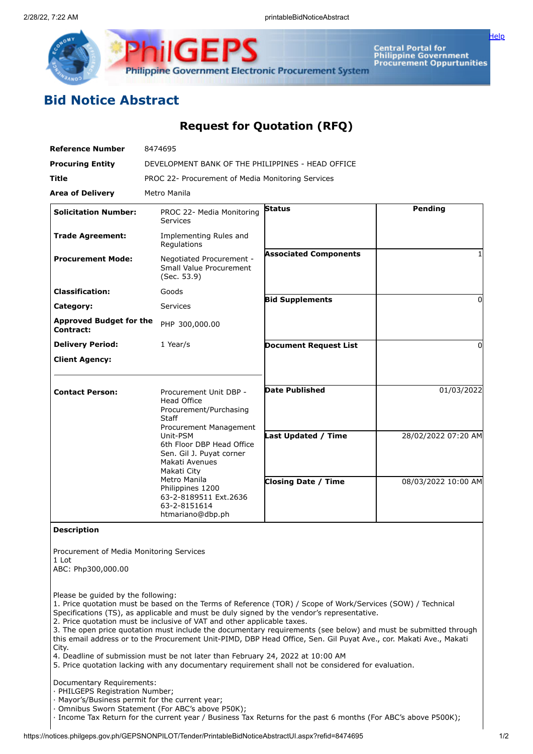

Central Portal for<br>Philippine Government<br>Procurement Oppurtunities

[Help](javascript:void(window.open()

## **Bid Notice Abstract**

## **Request for Quotation (RFQ)**

| <b>Reference Number</b>                                                 | 8474695                                                                                                                                                                                                                                                                                                          |                              |                     |
|-------------------------------------------------------------------------|------------------------------------------------------------------------------------------------------------------------------------------------------------------------------------------------------------------------------------------------------------------------------------------------------------------|------------------------------|---------------------|
| <b>Procuring Entity</b>                                                 | DEVELOPMENT BANK OF THE PHILIPPINES - HEAD OFFICE                                                                                                                                                                                                                                                                |                              |                     |
| Title                                                                   | PROC 22- Procurement of Media Monitoring Services                                                                                                                                                                                                                                                                |                              |                     |
| <b>Area of Delivery</b>                                                 | Metro Manila                                                                                                                                                                                                                                                                                                     |                              |                     |
| <b>Solicitation Number:</b>                                             | PROC 22- Media Monitoring<br><b>Services</b>                                                                                                                                                                                                                                                                     | <b>Status</b>                | <b>Pending</b>      |
| <b>Trade Agreement:</b>                                                 | Implementing Rules and<br>Regulations                                                                                                                                                                                                                                                                            |                              |                     |
| <b>Procurement Mode:</b>                                                | Negotiated Procurement -<br>Small Value Procurement<br>(Sec. 53.9)                                                                                                                                                                                                                                               | <b>Associated Components</b> |                     |
| <b>Classification:</b>                                                  | Goods                                                                                                                                                                                                                                                                                                            |                              |                     |
| Category:                                                               | <b>Services</b>                                                                                                                                                                                                                                                                                                  | <b>Bid Supplements</b>       | 0                   |
| <b>Approved Budget for the</b><br>Contract:                             | PHP 300,000.00                                                                                                                                                                                                                                                                                                   |                              |                     |
| <b>Delivery Period:</b>                                                 | 1 Year/s                                                                                                                                                                                                                                                                                                         | <b>Document Request List</b> | 0                   |
| <b>Client Agency:</b>                                                   |                                                                                                                                                                                                                                                                                                                  |                              |                     |
| <b>Contact Person:</b>                                                  | Procurement Unit DBP -<br><b>Head Office</b><br>Procurement/Purchasing<br>Staff<br>Procurement Management<br>Unit-PSM<br>6th Floor DBP Head Office<br>Sen. Gil J. Puyat corner<br>Makati Avenues<br>Makati City<br>Metro Manila<br>Philippines 1200<br>63-2-8189511 Ext.2636<br>63-2-8151614<br>htmariano@dbp.ph | <b>Date Published</b>        | 01/03/2022          |
|                                                                         |                                                                                                                                                                                                                                                                                                                  | Last Updated / Time          | 28/02/2022 07:20 AM |
|                                                                         |                                                                                                                                                                                                                                                                                                                  | <b>Closing Date / Time</b>   | 08/03/2022 10:00 AM |
| <b>Description</b>                                                      |                                                                                                                                                                                                                                                                                                                  |                              |                     |
| Procurement of Media Monitoring Services<br>1 Lot<br>ABC: Php300,000.00 |                                                                                                                                                                                                                                                                                                                  |                              |                     |
| Please be quided by the following:                                      | 1. Price quotation must be based on the Terms of Reference (TOR) / Scope of Work/Services (SOW) / Technical<br>Specifications (TS), as applicable and must be duly signed by the vendor's representative.<br>2. Price quotation must be inclusive of VAT and other applicable taxes.                             |                              |                     |

3. The open price quotation must include the documentary requirements (see below) and must be submitted through this email address or to the Procurement Unit-PIMD, DBP Head Office, Sen. Gil Puyat Ave., cor. Makati Ave., Makati City.

4. Deadline of submission must be not later than February 24, 2022 at 10:00 AM

5. Price quotation lacking with any documentary requirement shall not be considered for evaluation.

Documentary Requirements:

· PHILGEPS Registration Number;

· Mayor's/Business permit for the current year;

· Omnibus Sworn Statement (For ABC's above P50K);

· Income Tax Return for the current year / Business Tax Returns for the past 6 months (For ABC's above P500K);